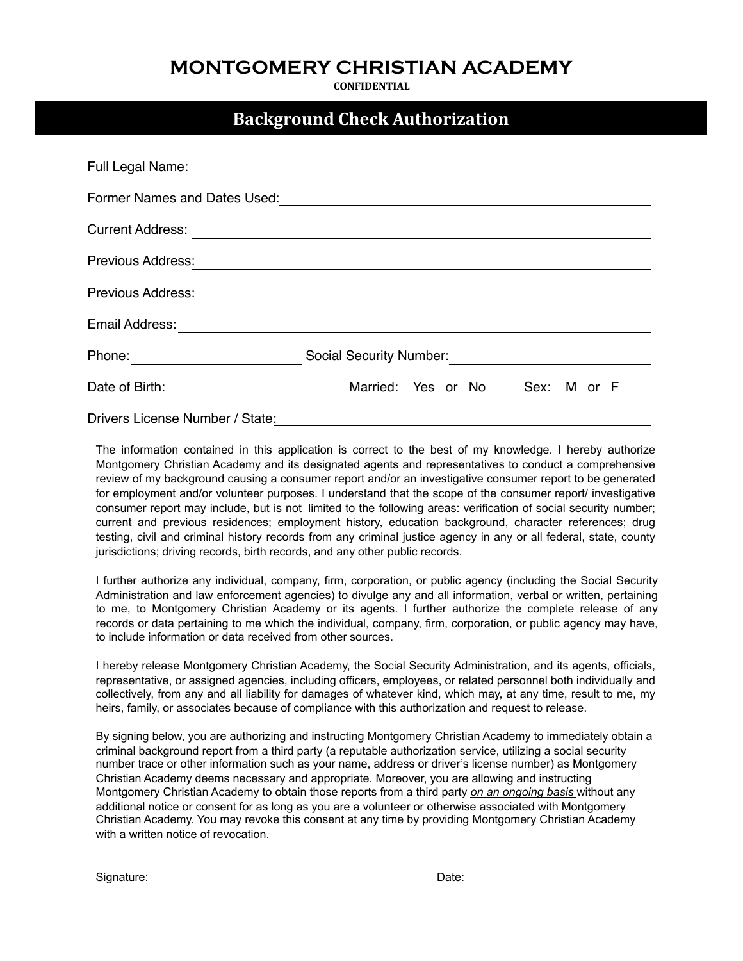## **MONTGOMERY CHRISTIAN ACADEMY**

**CONFIDENTIAL**

## **Background Check Authorization**

| Full Legal Name:                |                                   |
|---------------------------------|-----------------------------------|
| Former Names and Dates Used:    |                                   |
| <b>Current Address:</b>         |                                   |
| Previous Address:               |                                   |
| Previous Address:               |                                   |
| Email Address:                  |                                   |
| Phone:                          | <b>Social Security Number:</b>    |
| Date of Birth:                  | Married: Yes or No<br>Sex: M or F |
| Drivers License Number / State: |                                   |

The information contained in this application is correct to the best of my knowledge. I hereby authorize Montgomery Christian Academy and its designated agents and representatives to conduct a comprehensive review of my background causing a consumer report and/or an investigative consumer report to be generated for employment and/or volunteer purposes. I understand that the scope of the consumer report/ investigative consumer report may include, but is not limited to the following areas: verification of social security number; current and previous residences; employment history, education background, character references; drug testing, civil and criminal history records from any criminal justice agency in any or all federal, state, county jurisdictions; driving records, birth records, and any other public records.

I further authorize any individual, company, firm, corporation, or public agency (including the Social Security Administration and law enforcement agencies) to divulge any and all information, verbal or written, pertaining to me, to Montgomery Christian Academy or its agents. I further authorize the complete release of any records or data pertaining to me which the individual, company, firm, corporation, or public agency may have, to include information or data received from other sources.

I hereby release Montgomery Christian Academy, the Social Security Administration, and its agents, officials, representative, or assigned agencies, including officers, employees, or related personnel both individually and collectively, from any and all liability for damages of whatever kind, which may, at any time, result to me, my heirs, family, or associates because of compliance with this authorization and request to release.

By signing below, you are authorizing and instructing Montgomery Christian Academy to immediately obtain a criminal background report from a third party (a reputable authorization service, utilizing a social security number trace or other information such as your name, address or driver's license number) as Montgomery Christian Academy deems necessary and appropriate. Moreover, you are allowing and instructing Montgomery Christian Academy to obtain those reports from a third party *on an ongoing basis* without any additional notice or consent for as long as you are a volunteer or otherwise associated with Montgomery Christian Academy. You may revoke this consent at any time by providing Montgomery Christian Academy with a written notice of revocation.

Signature: Date: